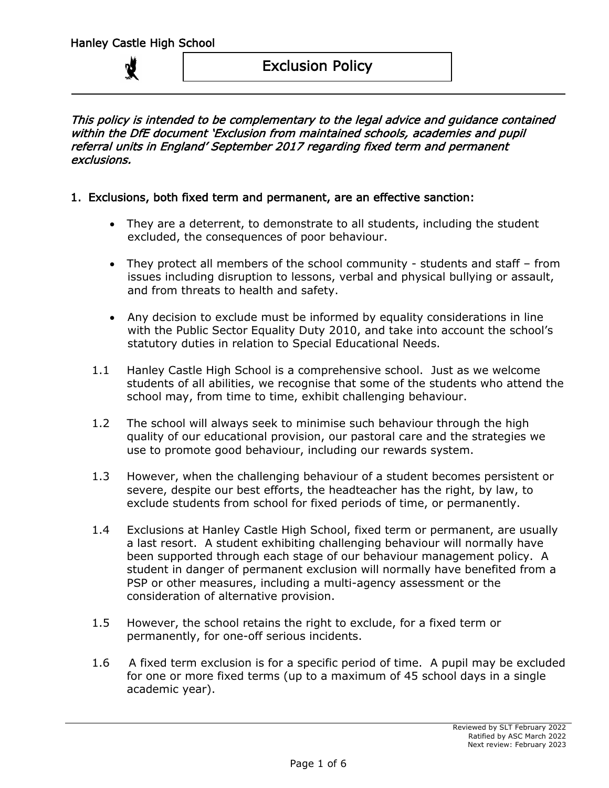This policy is intended to be complementary to the legal advice and guidance contained within the DfE document 'Exclusion from maintained schools, academies and pupil referral units in England' September 2017 regarding fixed term and permanent exclusions.

# 1. Exclusions, both fixed term and permanent, are an effective sanction:

- They are a deterrent, to demonstrate to all students, including the student excluded, the consequences of poor behaviour.
- They protect all members of the school community students and staff from issues including disruption to lessons, verbal and physical bullying or assault, and from threats to health and safety.
- Any decision to exclude must be informed by equality considerations in line with the Public Sector Equality Duty 2010, and take into account the school's statutory duties in relation to Special Educational Needs.
- 1.1 Hanley Castle High School is a comprehensive school. Just as we welcome students of all abilities, we recognise that some of the students who attend the school may, from time to time, exhibit challenging behaviour.
- 1.2 The school will always seek to minimise such behaviour through the high quality of our educational provision, our pastoral care and the strategies we use to promote good behaviour, including our rewards system.
- 1.3 However, when the challenging behaviour of a student becomes persistent or severe, despite our best efforts, the headteacher has the right, by law, to exclude students from school for fixed periods of time, or permanently.
- 1.4 Exclusions at Hanley Castle High School, fixed term or permanent, are usually a last resort. A student exhibiting challenging behaviour will normally have been supported through each stage of our behaviour management policy. A student in danger of permanent exclusion will normally have benefited from a PSP or other measures, including a multi-agency assessment or the consideration of alternative provision.
- 1.5 However, the school retains the right to exclude, for a fixed term or permanently, for one-off serious incidents.
- 1.6 A fixed term exclusion is for a specific period of time. A pupil may be excluded for one or more fixed terms (up to a maximum of 45 school days in a single academic year).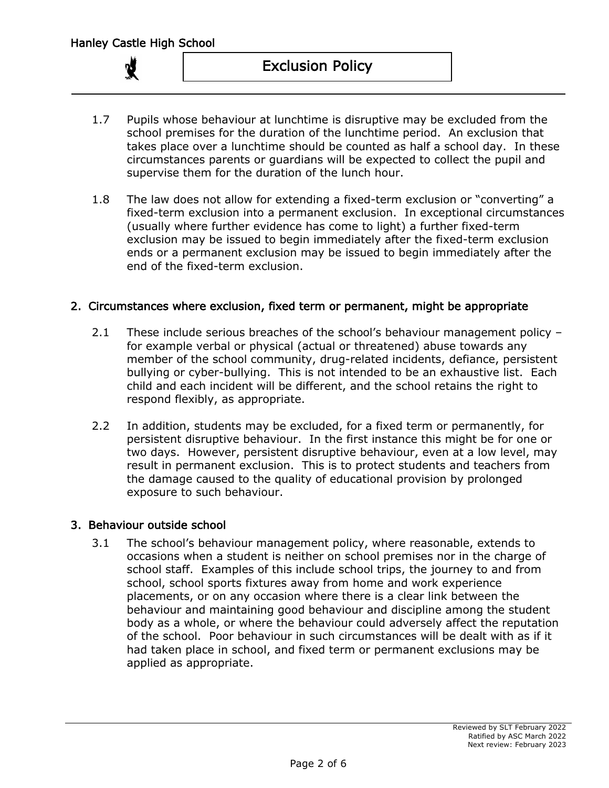- 1.7 Pupils whose behaviour at lunchtime is disruptive may be excluded from the school premises for the duration of the lunchtime period. An exclusion that takes place over a lunchtime should be counted as half a school day. In these circumstances parents or guardians will be expected to collect the pupil and supervise them for the duration of the lunch hour.
- 1.8 The law does not allow for extending a fixed-term exclusion or "converting" a fixed-term exclusion into a permanent exclusion. In exceptional circumstances (usually where further evidence has come to light) a further fixed-term exclusion may be issued to begin immediately after the fixed-term exclusion ends or a permanent exclusion may be issued to begin immediately after the end of the fixed-term exclusion.

# 2. Circumstances where exclusion, fixed term or permanent, might be appropriate

- 2.1 These include serious breaches of the school's behaviour management policy for example verbal or physical (actual or threatened) abuse towards any member of the school community, drug-related incidents, defiance, persistent bullying or cyber-bullying. This is not intended to be an exhaustive list. Each child and each incident will be different, and the school retains the right to respond flexibly, as appropriate.
- 2.2 In addition, students may be excluded, for a fixed term or permanently, for persistent disruptive behaviour. In the first instance this might be for one or two days. However, persistent disruptive behaviour, even at a low level, may result in permanent exclusion. This is to protect students and teachers from the damage caused to the quality of educational provision by prolonged exposure to such behaviour.

# 3. Behaviour outside school

3.1 The school's behaviour management policy, where reasonable, extends to occasions when a student is neither on school premises nor in the charge of school staff. Examples of this include school trips, the journey to and from school, school sports fixtures away from home and work experience placements, or on any occasion where there is a clear link between the behaviour and maintaining good behaviour and discipline among the student body as a whole, or where the behaviour could adversely affect the reputation of the school. Poor behaviour in such circumstances will be dealt with as if it had taken place in school, and fixed term or permanent exclusions may be applied as appropriate.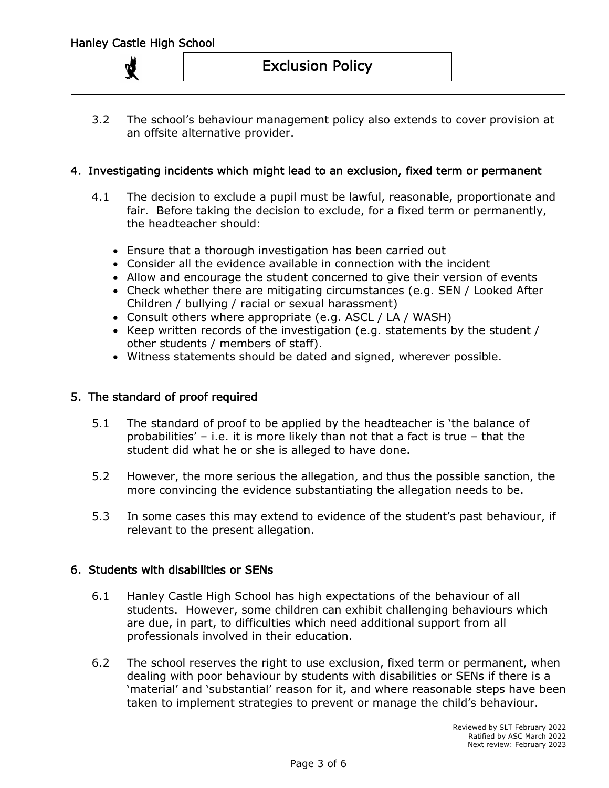3.2 The school's behaviour management policy also extends to cover provision at an offsite alternative provider.

## 4. Investigating incidents which might lead to an exclusion, fixed term or permanent

- 4.1 The decision to exclude a pupil must be lawful, reasonable, proportionate and fair. Before taking the decision to exclude, for a fixed term or permanently, the headteacher should:
	- Ensure that a thorough investigation has been carried out
	- Consider all the evidence available in connection with the incident
	- Allow and encourage the student concerned to give their version of events
	- Check whether there are mitigating circumstances (e.g. SEN / Looked After Children / bullying / racial or sexual harassment)
	- Consult others where appropriate (e.g. ASCL / LA / WASH)
	- Keep written records of the investigation (e.g. statements by the student / other students / members of staff).
	- Witness statements should be dated and signed, wherever possible.

## 5. The standard of proof required

- 5.1 The standard of proof to be applied by the headteacher is 'the balance of probabilities' – i.e. it is more likely than not that a fact is true – that the student did what he or she is alleged to have done.
- 5.2 However, the more serious the allegation, and thus the possible sanction, the more convincing the evidence substantiating the allegation needs to be.
- 5.3 In some cases this may extend to evidence of the student's past behaviour, if relevant to the present allegation.

#### 6. Students with disabilities or SENs

- 6.1 Hanley Castle High School has high expectations of the behaviour of all students. However, some children can exhibit challenging behaviours which are due, in part, to difficulties which need additional support from all professionals involved in their education.
- 6.2 The school reserves the right to use exclusion, fixed term or permanent, when dealing with poor behaviour by students with disabilities or SENs if there is a 'material' and 'substantial' reason for it, and where reasonable steps have been taken to implement strategies to prevent or manage the child's behaviour.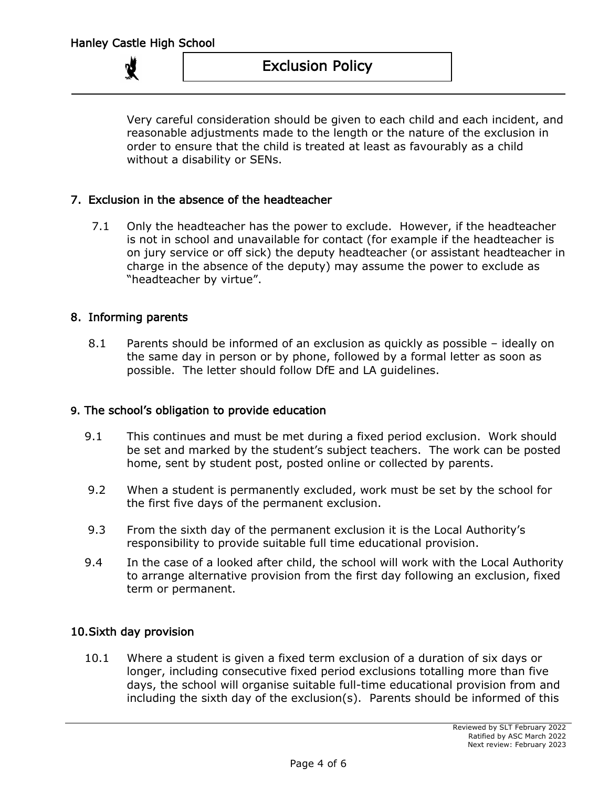Very careful consideration should be given to each child and each incident, and reasonable adjustments made to the length or the nature of the exclusion in order to ensure that the child is treated at least as favourably as a child without a disability or SENs.

# 7. Exclusion in the absence of the headteacher

7.1 Only the headteacher has the power to exclude. However, if the headteacher is not in school and unavailable for contact (for example if the headteacher is on jury service or off sick) the deputy headteacher (or assistant headteacher in charge in the absence of the deputy) may assume the power to exclude as "headteacher by virtue".

#### 8. Informing parents

8.1 Parents should be informed of an exclusion as quickly as possible – ideally on the same day in person or by phone, followed by a formal letter as soon as possible. The letter should follow DfE and LA guidelines.

#### 9. The school's obligation to provide education

- 9.1 This continues and must be met during a fixed period exclusion. Work should be set and marked by the student's subject teachers. The work can be posted home, sent by student post, posted online or collected by parents.
- 9.2 When a student is permanently excluded, work must be set by the school for the first five days of the permanent exclusion.
- 9.3 From the sixth day of the permanent exclusion it is the Local Authority's responsibility to provide suitable full time educational provision.
- 9.4 In the case of a looked after child, the school will work with the Local Authority to arrange alternative provision from the first day following an exclusion, fixed term or permanent.

#### 10.Sixth day provision

10.1 Where a student is given a fixed term exclusion of a duration of six days or longer, including consecutive fixed period exclusions totalling more than five days, the school will organise suitable full-time educational provision from and including the sixth day of the exclusion(s). Parents should be informed of this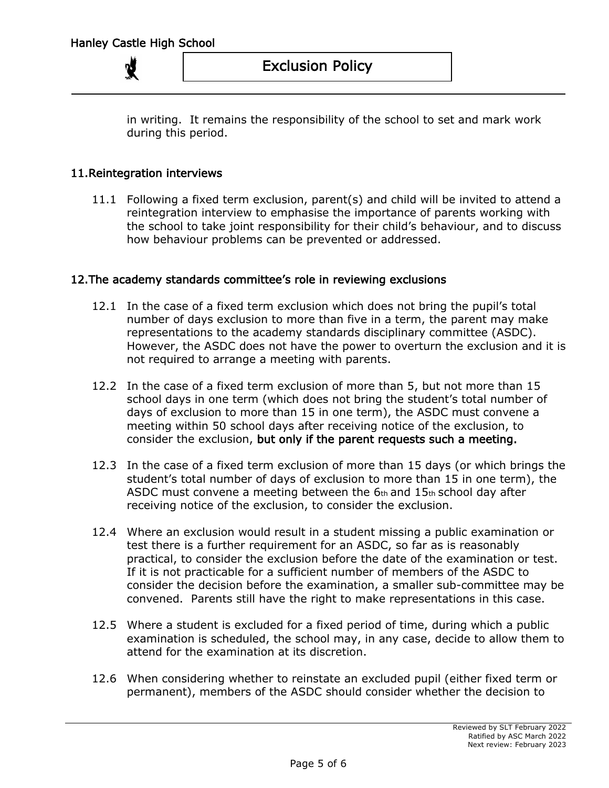in writing. It remains the responsibility of the school to set and mark work during this period.

## 11.Reintegration interviews

11.1 Following a fixed term exclusion, parent(s) and child will be invited to attend a reintegration interview to emphasise the importance of parents working with the school to take joint responsibility for their child's behaviour, and to discuss how behaviour problems can be prevented or addressed.

#### 12.The academy standards committee's role in reviewing exclusions

- 12.1 In the case of a fixed term exclusion which does not bring the pupil's total number of days exclusion to more than five in a term, the parent may make representations to the academy standards disciplinary committee (ASDC). However, the ASDC does not have the power to overturn the exclusion and it is not required to arrange a meeting with parents.
- 12.2 In the case of a fixed term exclusion of more than 5, but not more than 15 school days in one term (which does not bring the student's total number of days of exclusion to more than 15 in one term), the ASDC must convene a meeting within 50 school days after receiving notice of the exclusion, to consider the exclusion, but only if the parent requests such a meeting.
- 12.3 In the case of a fixed term exclusion of more than 15 days (or which brings the student's total number of days of exclusion to more than 15 in one term), the ASDC must convene a meeting between the  $6<sub>th</sub>$  and  $15<sub>th</sub>$  school day after receiving notice of the exclusion, to consider the exclusion.
- 12.4 Where an exclusion would result in a student missing a public examination or test there is a further requirement for an ASDC, so far as is reasonably practical, to consider the exclusion before the date of the examination or test. If it is not practicable for a sufficient number of members of the ASDC to consider the decision before the examination, a smaller sub-committee may be convened. Parents still have the right to make representations in this case.
- 12.5 Where a student is excluded for a fixed period of time, during which a public examination is scheduled, the school may, in any case, decide to allow them to attend for the examination at its discretion.
- 12.6 When considering whether to reinstate an excluded pupil (either fixed term or permanent), members of the ASDC should consider whether the decision to